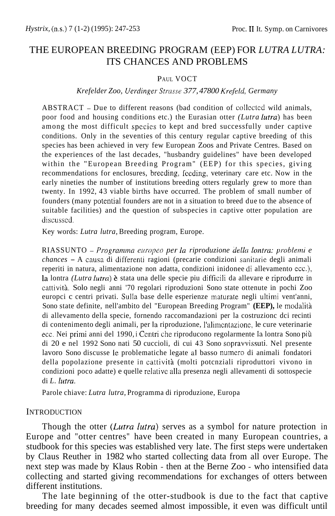# THE EUROPEAN BREEDING PROGRAM (EEP) FOR *LUTRA LUTRA:*  ITS CHANCES AND PROBLEMS

#### PAUL VOCT

#### *Krefelder Zoo, Uerdinger Strusse 377, 47800 Krefeld, Germany*

ABSTRACT - Due to different reasons (bad condition of collected wild animals, poor food and housing conditions etc.) the Eurasian otter *(Lutra lutra)* has been among the most difficult species to kept and bred successfully under captive conditions. Only in the seventies of this century regular captive breeding of this species has been achieved in very few European Zoos and Private Centres. Based on the experiences of the last decades, "husbandry guidelines" have been developed within the "European Breeding Program" (EEP) for this species, giving recommendations for enclosures, breeding, feeding, veterinary care etc. Now in the early nineties the number of institutions breeding otters regularly grew to more than twenty. In 1992, 43 viable births have occurred. The problem of small number of founders (many potcntial founders are not in a situation to breed due to the absence of suitable facilities) and the question of subspecies in captive otter population are discusscd.

Key words: *Lutra lutra,* Breeding program, Europe.

RIASSUNTO - *Progranwin eiiropeo per la riproduzione della lontm: yroblemi e chances* – A causa di differenti ragioni (precarie condizioni sanitarie degli animali reperiti in natura, alimentazione non adatta, condizioni inidonee di allevamento ecc.), la lontra *(Lutra lutra)* è stata una delle specie piu difficili da allevare e riprodurre in cattiviti. Solo negli anni '70 regolari riproduzioni Sono state ottenute in pochi Zoo europci c centri privati. Sulla base delle esperienze maturate negli ultimi vent'anni, Sono state definite, nell'ambito del "European Breeding Program" **(EEP),** le modaliti di allevamento della specie, fornendo raccomandazioni per la costruzionc dci recinti di contenimento degli animali, per **la** riproduzione, I'alimcnlazione, le cure veterinarie ecc. Nei primi anni del 1990, i Centri che riproducono regolarmente la lontra Sono più di 20 e nel 1992 Sono nati 50 cuccioli, di cui 43 Sono sopravvissuti. Nel presente lavoro Sono discusse le problematiche legate al basso numero di animali fondatori della popolazione presente in cattività (molti potcnziali riproduttori vivono in condizioni poco adatte) e quelle relativc alla presenza negli allevamenti di sottospecie di *L. lutra*.

Parole chiave: *Lutra lutra,* Programma di riproduzione, Europa

#### **INTRODUCTION**

Though the otter *(Lutra lutra)* serves as a symbol for nature protection in Europe and "otter centres" have been created in many European countries, a studbook for this species was established very late. The first steps were undertaken by Claus Reuther in 1982 who started collecting data from all over Europe. The next step was made by Klaus Robin - then at the Berne Zoo - who intensified data collecting and started giving recommendations for exchanges of otters between different institutions.

The late beginning of the otter-studbook is due to the fact that captive breeding for many decades seemed almost impossible, it even was difficult until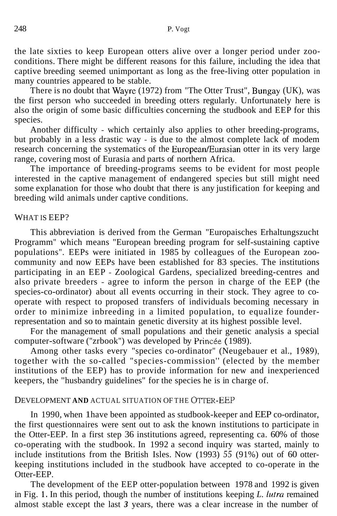the late sixties to keep European otters alive over a longer period under zooconditions. There might be different reasons for this failure, including the idea that captive breeding seemed unimportant as long as the free-living otter population in many countries appeared to be stable.

There is no doubt that Wayre (1972) from "The Otter Trust", Bungay (UK), was the first person who succeeded in breeding otters regularly. Unfortunately here is also the origin of some basic difficulties concerning the studbook and EEP for this species.

Another difficulty - which certainly also applies to other breeding-programs, but probably in a less drastic way - is due to the almost complete lack of modem research concerning the systematics of the European/Eurasian otter in its very large range, covering most of Eurasia and parts of northern Africa.

The importance of breeding-programs seems to be evident for most people interested in the captive management of endangered species but still might need some explanation for those who doubt that there is any justification for keeping and breeding wild animals under captive conditions.

# WHAT IS EEP?

This abbreviation is derived from the German "Europaisches Erhaltungszucht Programm" which means "European breeding program for self-sustaining captive populations". EEPs were initiated in 1985 by colleagues of the European zoocommunity and now EEPs have been established for 83 species. The institutions participating in an EEP - Zoological Gardens, specialized breeding-centres and also private breeders - agree to inform the person in charge of the EEP (the species-co-ordinator) about all events occurring in their stock. They agree to cooperate with respect to proposed transfers of individuals becoming necessary in order to minimize inbreeding in a limited population, to equalize founderrepresentation and so to maintain genetic diversity at its highest possible level.

For the management of small populations and their genetic analysis a special computer-software ("zrbook") was developed by Princée (1989).

Among other tasks every "species co-ordinator" (Neugebauer et al., 1989), together with the so-called "species-commission'' (elected by the member institutions of the EEP) has to provide information for new and inexperienced keepers, the "husbandry guidelines" for the species he is in charge of.

#### DEVELOPMENT **AND** ACTUAL SITUATION OF THE OTTER-EEP

In 1990, when 1 have been appointed as studbook-keeper and EEP co-ordinator, the first questionnaires were sent out to ask the known institutions to participate in the Otter-EEP. In a first step 36 institutions agreed, representing ca. 60% of those co-operating with the studbook. In 1992 a second inquiry was started, mainly to include institutions from the British Isles. Now (1993) *55* (91%) out of 60 otterkeeping institutions included in the studbook have accepted to co-operate in the Otter-EEP.

The development of the EEP otter-population between 1978 and 1992 is given in Fig. 1. In this period, though the number of institutions keeping *L. lutra* remained almost stable except the last *3* years, there was a clear increase in the number of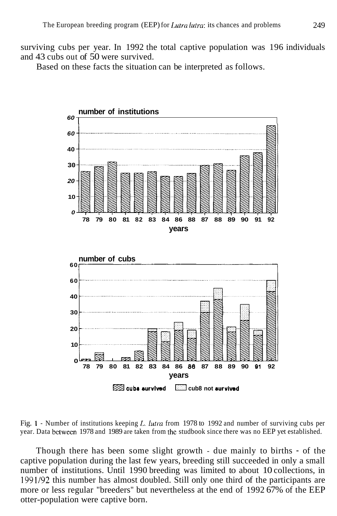surviving cubs per year. In 1992 the total captive population was 196 individuals and 43 cubs out of 50 were survived.

Based on these facts the situation can be interpreted as follows.



Fig. 1 - Number of institutions keeping *L. lutra* from 1978 to 1992 and number of surviving cubs per year. Data bctween 1978 and 1989 are taken from thc studbook since there was no EEP yet established.

Though there has been some slight growth - due mainly to births - of the captive population during the last few years, breeding still succeeded in only a small number of institutions. Until 1990 breeding was limited to about 10 collections, in 1991/92 this number has almost doubled. Still only one third of the participants are more or less regular "breeders" but nevertheless at the end of 1992 67% of the EEP otter-population were captive born.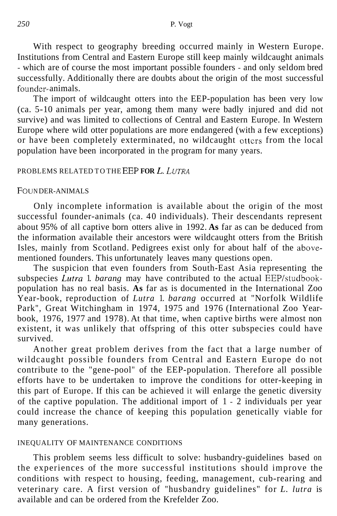With respect to geography breeding occurred mainly in Western Europe. Institutions from Central and Eastern Europe still keep mainly wildcaught animals - which are of course the most important possible founders - and only seldom bred successfully. Additionally there are doubts about the origin of the most successful founder- animals.

The import of wildcaught otters into the EEP-population has been very low (ca. 5-10 animals per year, among them many were badly injured and did not survive) and was limited to collections of Central and Eastern Europe. In Western Europe where wild otter populations are more endangered (with a few exceptions) or have been completely exterminated, no wildcaught ottcrs from the local population have been incorporated in the program for many years.

#### PROBLEMS RELATED TO THE EEP **FOR** *L. LUTRA*

#### FOUN DER-ANIMALS

Only incomplete information is available about the origin of the most successful founder-animals (ca. 40 individuals). Their descendants represent about 95% of all captive born otters alive in 1992. **As** far as can be deduced from the information available their ancestors were wildcaught otters from the British Isles, mainly from Scotland. Pedigrees exist only for about half of the abovementioned founders. This unfortunately leaves many questions open.

The suspicion that even founders from South-East Asia representing the subspecies *Lutra* 1. *barang* may have contributed to the actual EEP/studbookpopulation has no real basis. **As** far as is documented in the International Zoo Year-book, reproduction of *Lutra* 1. *barang* occurred at "Norfolk Wildlife Park", Great Witchingham in 1974, 1975 and 1976 (International Zoo Yearbook, 1976, 1977 and 1978). At that time, when captive births were almost non existent, it was unlikely that offspring of this otter subspecies could have survived.

Another great problem derives from the fact that a large number of wildcaught possible founders from Central and Eastern Europe do not contribute to the "gene-pool" of the EEP-population. Therefore all possible efforts have to be undertaken to improve the conditions for otter-keeping in this part of Europe. If this can be achieved it will enlarge the genetic diversity of the captive population. The additional import of 1 - 2 individuals per year could increase the chance of keeping this population genetically viable for many generations.

#### INEQUALITY OF MAINTENANCE CONDITIONS

This problem seems less difficult to solve: husbandry-guidelines based on the experiences of the more successful institutions should improve the conditions with respect to housing, feeding, management, cub-rearing and veterinary care. A first version of "husbandry guidelines" for *L. lutra* is available and can be ordered from the Krefelder Zoo.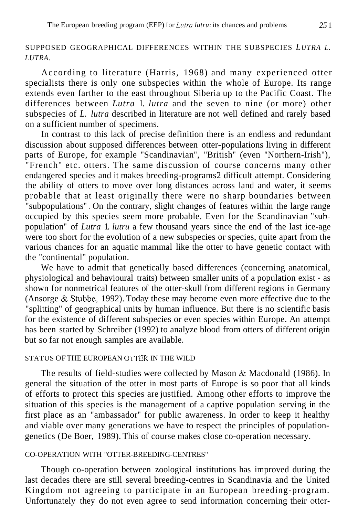# SUPPOSED GEOGRAPHICAL DIFFERENCES WITHIN THE SUBSPECIES *LUTRA L. LUTRA.*

According to literature (Harris, 1968) and many experienced otter specialists there is only one subspecies within the whole of Europe. Its range extends even farther to the east throughout Siberia up to the Pacific Coast. The differences between *Lutra* 1. *lutra* and the seven to nine (or more) other subspecies of *L. lutra* described in literature are not well defined and rarely based on a sufficient number of specimens.

In contrast to this lack of precise definition there is an endless and redundant discussion about supposed differences between otter-populations living in different parts of Europe, for example "Scandinavian", "British" (even "Northern-Irish"), "French" etc. otters. The same discussion of course concerns many other endangered species and it makes breeding-programs2 difficult attempt. Considering the ability of otters to move over long distances across land and water, it seems probable that at least originally there were no sharp boundaries between "subpopulations" . On the contrary, slight changes of features within the large range occupied by this species seem more probable. Even for the Scandinavian "subpopulation" of *Lutra* 1. *lutru* a few thousand years since the end of the last ice-age were too short for the evolution of a new subspecies or species, quite apart from the various chances for an aquatic mammal like the otter to have genetic contact with the "continental" population.

We have to admit that genetically based differences (concerning anatomical, physiological and behavioural traits) between smaller units of a population exist - as shown for nonmetrical features of the otter-skull from different regions in Germany (Ansorge & Stubbe, 1992). Today these may become even more effective due to the "splitting" of geographical units by human influence. But there is no scientific basis for the existence of different subspecies or even species within Europe. An attempt has been started by Schreiber (1992) to analyze blood from otters of different origin but so far not enough samples are available.

# STATUS OF THE EUROPEAN OTTER IN THE WILD

The results of field-studies were collected by Mason & Macdonald (1986). In general the situation of the otter in most parts of Europe is so poor that all kinds of efforts to protect this species are justified. Among other efforts to improve the situation of this species is the management of a captive population serving in the first place as an "ambassador" for public awareness. In order to keep it healthy and viable over many generations we have to respect the principles of populationgenetics (De Boer, 1989). This of course makes close co-operation necessary.

#### CO-OPERATION WITH "OTTER-BREEDING-CENTRES"

Though co-operation between zoological institutions has improved during the last decades there are still several breeding-centres in Scandinavia and the United Kingdom not agreeing to participate in an European breeding-program. Unfortunately they do not even agree to send information concerning their otter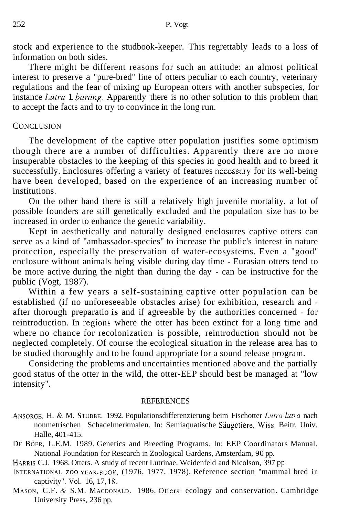stock and experience to the studbook-keeper. This regrettably leads to a loss of information on both sides.

There might be different reasons for such an attitude: an almost political interest to preserve a "pure-bred" line of otters peculiar to each country, veterinary regulations and the fear of mixing up European otters with another subspecies, for instance *Lutra* 1. *barang.* Apparently there is no other solution to this problem than to accept the facts and to try to convince in the long run.

### **CONCLUSION**

The development of the captive otter population justifies some optimism though there are a number of difficulties. Apparently there are no more insuperable obstacles to the keeping of this species in good health and to breed it successfully. Enclosures offering a variety of features necessary for its well-being have been developed, based on the experience of an increasing number of institutions.

On the other hand there is still a relatively high juvenile mortality, a lot of possible founders are still genetically excluded and the population size has to be increased in order to enhance the genetic variability.

Kept in aesthetically and naturally designed enclosures captive otters can serve as a kind of "ambassador-species" to increase the public's interest in nature protection, especially the preservation of water-ecosystems. Even a "good" enclosure without animals being visible during day time - Eurasian otters tend to be more active during the night than during the day - can be instructive for the public (Vogt, 1987).

Within a few years a self-sustaining captive otter population can be established (if no unforeseeable obstacles arise) for exhibition, research and after thorough preparatio **is** and if agreeable by the authorities concerned - for  $reintroduction$ . In regions where the otter has been extinct for a long time and where no chance for recolonization is possible, reintroduction should not be neglected completely. Of course the ecological situation in the release area has to be studied thoroughly and to be found appropriate for a sound release program.

Considering the problems and uncertainties mentioned above and the partially good status of the otter in the wild, the otter-EEP should best be managed at "low intensity".

#### **REFERENCES**

- ANSORGE, H. & M. STUBBE. 1992. Populationsdifferenzierung beim Fischotter *Lutru lutru* nach nonmetrischen Schadelmerkmalen. In: Semiaquatische Saugetiere, Wiss. Beitr. Univ. Halle, 401-415.
- DE BOER, L.E.M. 1989. Genetics and Breeding Programs. In: EEP Coordinators Manual. National Foundation for Research in Zoological Gardens, Amsterdam, 90 pp.

HARRIS C.J. 1968. Otters. A study of recent Lutrinae. Weidenfeld and Nicolson, 397 pp.

INTERNATIONAL zoo YBAR-BOOK, (1976, 1977, 1978). Reference section "mammal bred in captivity". Vol. 16, 17, 18.

MASON, C.F. & S.M. MACDONALD. 1986. Otters: ecology and conservation. Cambridge University Press, 236 pp.